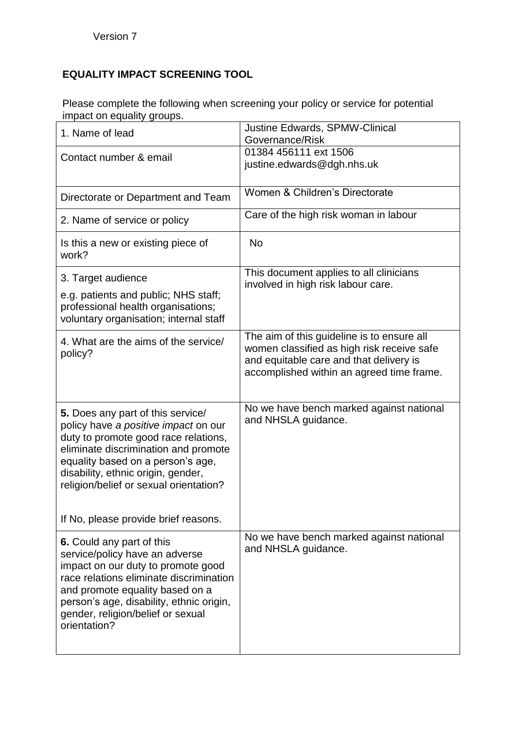## **EQUALITY IMPACT SCREENING TOOL**

Please complete the following when screening your policy or service for potential impact on equality groups.

| 1. Name of lead                                                                                                                                                                                                                                                                                                        | <b>Justine Edwards, SPMW-Clinical</b><br>Governance/Risk                                                                                                                         |
|------------------------------------------------------------------------------------------------------------------------------------------------------------------------------------------------------------------------------------------------------------------------------------------------------------------------|----------------------------------------------------------------------------------------------------------------------------------------------------------------------------------|
| Contact number & email                                                                                                                                                                                                                                                                                                 | 01384 456111 ext 1506<br>justine.edwards@dgh.nhs.uk                                                                                                                              |
| Directorate or Department and Team                                                                                                                                                                                                                                                                                     | Women & Children's Directorate                                                                                                                                                   |
| 2. Name of service or policy                                                                                                                                                                                                                                                                                           | Care of the high risk woman in labour                                                                                                                                            |
| Is this a new or existing piece of<br>work?                                                                                                                                                                                                                                                                            | <b>No</b>                                                                                                                                                                        |
| 3. Target audience<br>e.g. patients and public; NHS staff;<br>professional health organisations;<br>voluntary organisation; internal staff                                                                                                                                                                             | This document applies to all clinicians<br>involved in high risk labour care.                                                                                                    |
| 4. What are the aims of the service/<br>policy?                                                                                                                                                                                                                                                                        | The aim of this guideline is to ensure all<br>women classified as high risk receive safe<br>and equitable care and that delivery is<br>accomplished within an agreed time frame. |
| 5. Does any part of this service/<br>policy have a positive impact on our<br>duty to promote good race relations,<br>eliminate discrimination and promote<br>equality based on a person's age,<br>disability, ethnic origin, gender,<br>religion/belief or sexual orientation?<br>If No, please provide brief reasons. | No we have bench marked against national<br>and NHSLA guidance.                                                                                                                  |
| 6. Could any part of this<br>service/policy have an adverse<br>impact on our duty to promote good<br>race relations eliminate discrimination<br>and promote equality based on a<br>person's age, disability, ethnic origin,<br>gender, religion/belief or sexual<br>orientation?                                       | No we have bench marked against national<br>and NHSLA guidance.                                                                                                                  |